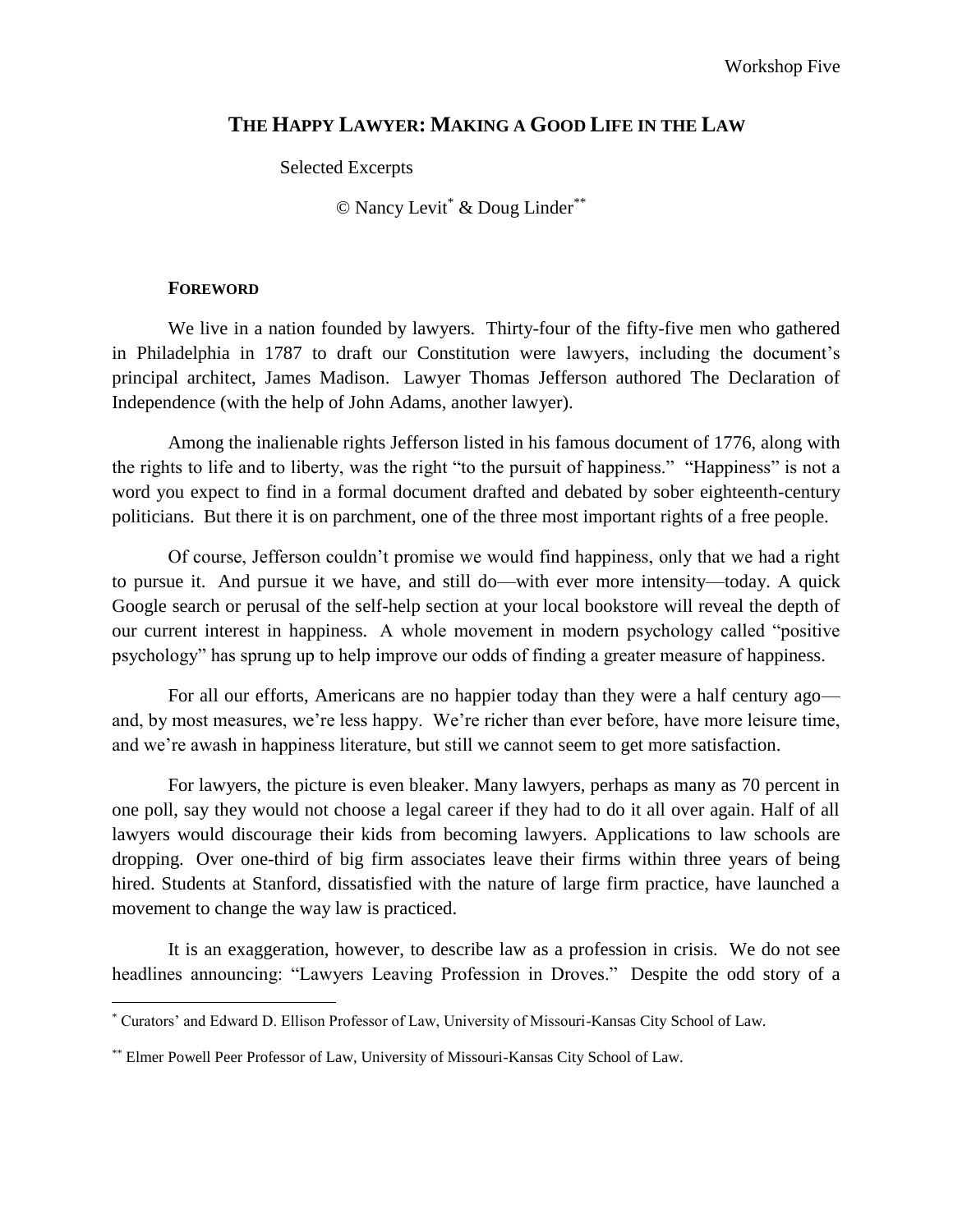# **THE HAPPY LAWYER: MAKING A GOOD LIFE IN THE LAW**

Selected Excerpts

© Nancy Levit\* & Doug Linder\*\*

#### **FOREWORD**

 $\overline{a}$ 

We live in a nation founded by lawyers. Thirty-four of the fifty-five men who gathered in Philadelphia in 1787 to draft our Constitution were lawyers, including the document's principal architect, James Madison. Lawyer Thomas Jefferson authored The Declaration of Independence (with the help of John Adams, another lawyer).

Among the inalienable rights Jefferson listed in his famous document of 1776, along with the rights to life and to liberty, was the right "to the pursuit of happiness." "Happiness" is not a word you expect to find in a formal document drafted and debated by sober eighteenth-century politicians. But there it is on parchment, one of the three most important rights of a free people.

Of course, Jefferson couldn't promise we would find happiness, only that we had a right to pursue it. And pursue it we have, and still do—with ever more intensity—today. A quick Google search or perusal of the self-help section at your local bookstore will reveal the depth of our current interest in happiness. A whole movement in modern psychology called "positive psychology" has sprung up to help improve our odds of finding a greater measure of happiness.

For all our efforts, Americans are no happier today than they were a half century ago and, by most measures, we're less happy. We're richer than ever before, have more leisure time, and we're awash in happiness literature, but still we cannot seem to get more satisfaction.

For lawyers, the picture is even bleaker. Many lawyers, perhaps as many as 70 percent in one poll, say they would not choose a legal career if they had to do it all over again. Half of all lawyers would discourage their kids from becoming lawyers. Applications to law schools are dropping. Over one-third of big firm associates leave their firms within three years of being hired. Students at Stanford, dissatisfied with the nature of large firm practice, have launched a movement to change the way law is practiced.

It is an exaggeration, however, to describe law as a profession in crisis. We do not see headlines announcing: "Lawyers Leaving Profession in Droves." Despite the odd story of a

<sup>\*</sup> Curators' and Edward D. Ellison Professor of Law, University of Missouri-Kansas City School of Law.

<sup>\*\*</sup> Elmer Powell Peer Professor of Law, University of Missouri-Kansas City School of Law.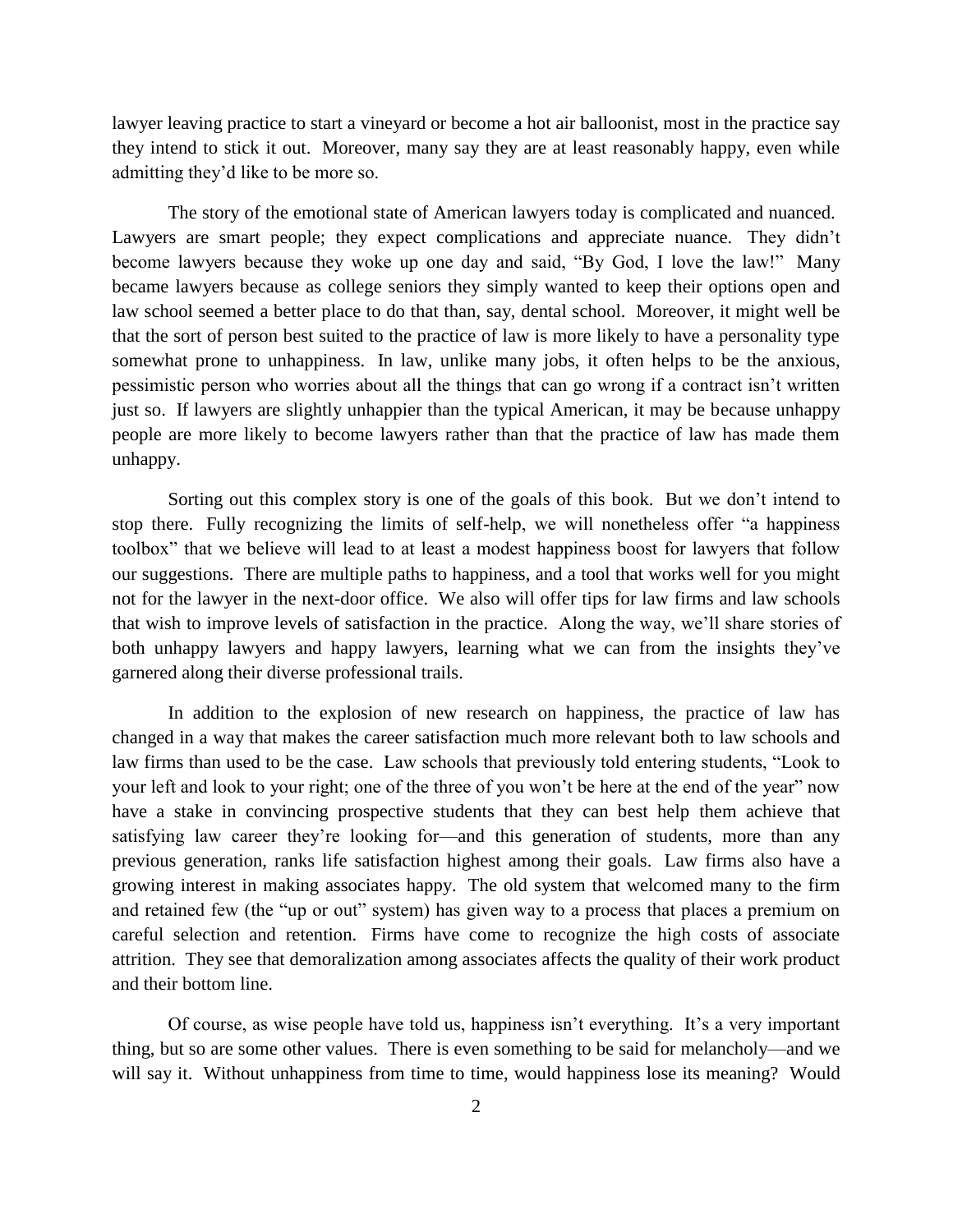lawyer leaving practice to start a vineyard or become a hot air balloonist, most in the practice say they intend to stick it out. Moreover, many say they are at least reasonably happy, even while admitting they'd like to be more so.

The story of the emotional state of American lawyers today is complicated and nuanced. Lawyers are smart people; they expect complications and appreciate nuance. They didn't become lawyers because they woke up one day and said, "By God, I love the law!" Many became lawyers because as college seniors they simply wanted to keep their options open and law school seemed a better place to do that than, say, dental school. Moreover, it might well be that the sort of person best suited to the practice of law is more likely to have a personality type somewhat prone to unhappiness. In law, unlike many jobs, it often helps to be the anxious, pessimistic person who worries about all the things that can go wrong if a contract isn't written just so. If lawyers are slightly unhappier than the typical American, it may be because unhappy people are more likely to become lawyers rather than that the practice of law has made them unhappy.

Sorting out this complex story is one of the goals of this book. But we don't intend to stop there. Fully recognizing the limits of self-help, we will nonetheless offer "a happiness toolbox" that we believe will lead to at least a modest happiness boost for lawyers that follow our suggestions. There are multiple paths to happiness, and a tool that works well for you might not for the lawyer in the next-door office. We also will offer tips for law firms and law schools that wish to improve levels of satisfaction in the practice. Along the way, we'll share stories of both unhappy lawyers and happy lawyers, learning what we can from the insights they've garnered along their diverse professional trails.

In addition to the explosion of new research on happiness, the practice of law has changed in a way that makes the career satisfaction much more relevant both to law schools and law firms than used to be the case. Law schools that previously told entering students, "Look to your left and look to your right; one of the three of you won't be here at the end of the year" now have a stake in convincing prospective students that they can best help them achieve that satisfying law career they're looking for—and this generation of students, more than any previous generation, ranks life satisfaction highest among their goals. Law firms also have a growing interest in making associates happy. The old system that welcomed many to the firm and retained few (the "up or out" system) has given way to a process that places a premium on careful selection and retention. Firms have come to recognize the high costs of associate attrition. They see that demoralization among associates affects the quality of their work product and their bottom line.

Of course, as wise people have told us, happiness isn't everything. It's a very important thing, but so are some other values. There is even something to be said for melancholy—and we will say it. Without unhappiness from time to time, would happiness lose its meaning? Would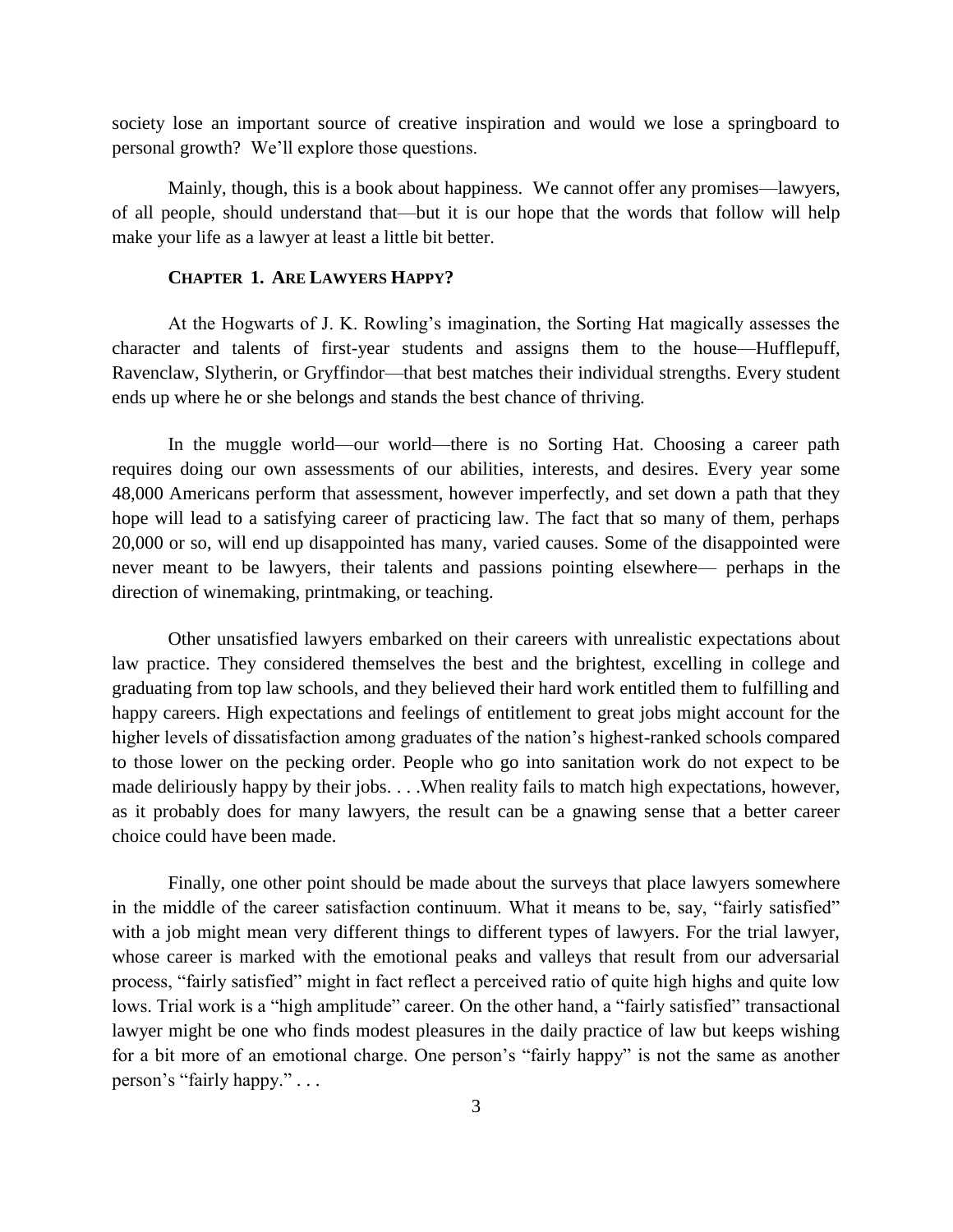society lose an important source of creative inspiration and would we lose a springboard to personal growth? We'll explore those questions.

Mainly, though, this is a book about happiness. We cannot offer any promises—lawyers, of all people, should understand that—but it is our hope that the words that follow will help make your life as a lawyer at least a little bit better.

## **CHAPTER 1. ARE LAWYERS HAPPY?**

At the Hogwarts of J. K. Rowling's imagination, the Sorting Hat magically assesses the character and talents of first-year students and assigns them to the house—Hufflepuff, Ravenclaw, Slytherin, or Gryffindor—that best matches their individual strengths. Every student ends up where he or she belongs and stands the best chance of thriving.

In the muggle world—our world—there is no Sorting Hat. Choosing a career path requires doing our own assessments of our abilities, interests, and desires. Every year some 48,000 Americans perform that assessment, however imperfectly, and set down a path that they hope will lead to a satisfying career of practicing law. The fact that so many of them, perhaps 20,000 or so, will end up disappointed has many, varied causes. Some of the disappointed were never meant to be lawyers, their talents and passions pointing elsewhere— perhaps in the direction of winemaking, printmaking, or teaching.

Other unsatisfied lawyers embarked on their careers with unrealistic expectations about law practice. They considered themselves the best and the brightest, excelling in college and graduating from top law schools, and they believed their hard work entitled them to fulfilling and happy careers. High expectations and feelings of entitlement to great jobs might account for the higher levels of dissatisfaction among graduates of the nation's highest-ranked schools compared to those lower on the pecking order. People who go into sanitation work do not expect to be made deliriously happy by their jobs. . . .When reality fails to match high expectations, however, as it probably does for many lawyers, the result can be a gnawing sense that a better career choice could have been made.

Finally, one other point should be made about the surveys that place lawyers somewhere in the middle of the career satisfaction continuum. What it means to be, say, "fairly satisfied" with a job might mean very different things to different types of lawyers. For the trial lawyer, whose career is marked with the emotional peaks and valleys that result from our adversarial process, "fairly satisfied" might in fact reflect a perceived ratio of quite high highs and quite low lows. Trial work is a "high amplitude" career. On the other hand, a "fairly satisfied" transactional lawyer might be one who finds modest pleasures in the daily practice of law but keeps wishing for a bit more of an emotional charge. One person's "fairly happy" is not the same as another person's "fairly happy." . . .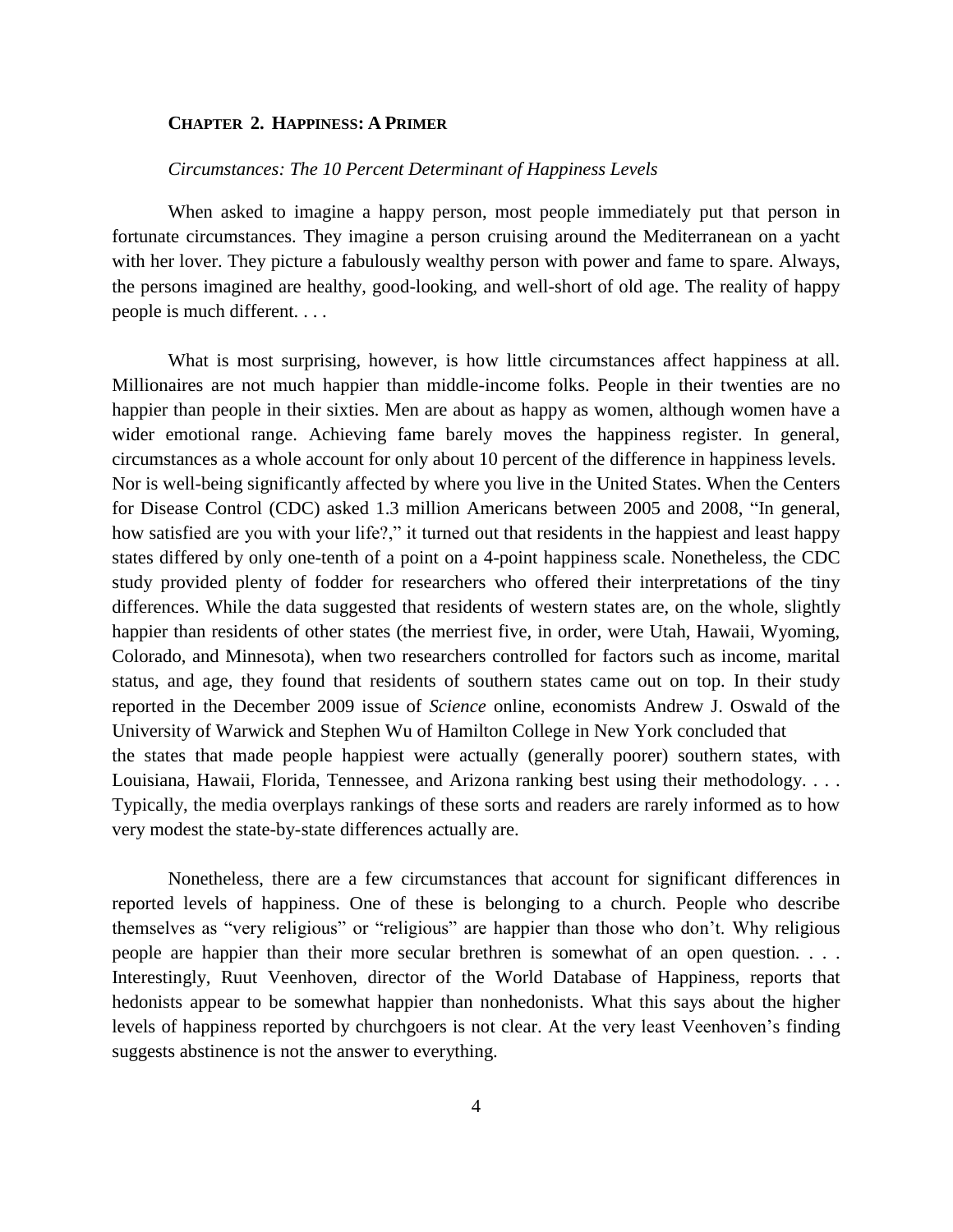## **CHAPTER 2. HAPPINESS: A PRIMER**

#### *Circumstances: The 10 Percent Determinant of Happiness Levels*

When asked to imagine a happy person, most people immediately put that person in fortunate circumstances. They imagine a person cruising around the Mediterranean on a yacht with her lover. They picture a fabulously wealthy person with power and fame to spare. Always, the persons imagined are healthy, good-looking, and well-short of old age. The reality of happy people is much different. . . .

What is most surprising, however, is how little circumstances affect happiness at all. Millionaires are not much happier than middle-income folks. People in their twenties are no happier than people in their sixties. Men are about as happy as women, although women have a wider emotional range. Achieving fame barely moves the happiness register. In general, circumstances as a whole account for only about 10 percent of the difference in happiness levels. Nor is well-being significantly affected by where you live in the United States. When the Centers for Disease Control (CDC) asked 1.3 million Americans between 2005 and 2008, "In general, how satisfied are you with your life?," it turned out that residents in the happiest and least happy states differed by only one-tenth of a point on a 4-point happiness scale. Nonetheless, the CDC study provided plenty of fodder for researchers who offered their interpretations of the tiny differences. While the data suggested that residents of western states are, on the whole, slightly happier than residents of other states (the merriest five, in order, were Utah, Hawaii, Wyoming, Colorado, and Minnesota), when two researchers controlled for factors such as income, marital status, and age, they found that residents of southern states came out on top. In their study reported in the December 2009 issue of *Science* online, economists Andrew J. Oswald of the University of Warwick and Stephen Wu of Hamilton College in New York concluded that the states that made people happiest were actually (generally poorer) southern states, with Louisiana, Hawaii, Florida, Tennessee, and Arizona ranking best using their methodology. . . . Typically, the media overplays rankings of these sorts and readers are rarely informed as to how very modest the state-by-state differences actually are.

Nonetheless, there are a few circumstances that account for significant differences in reported levels of happiness. One of these is belonging to a church. People who describe themselves as "very religious" or "religious" are happier than those who don't. Why religious people are happier than their more secular brethren is somewhat of an open question. . . . Interestingly, Ruut Veenhoven, director of the World Database of Happiness, reports that hedonists appear to be somewhat happier than nonhedonists. What this says about the higher levels of happiness reported by churchgoers is not clear. At the very least Veenhoven's finding suggests abstinence is not the answer to everything.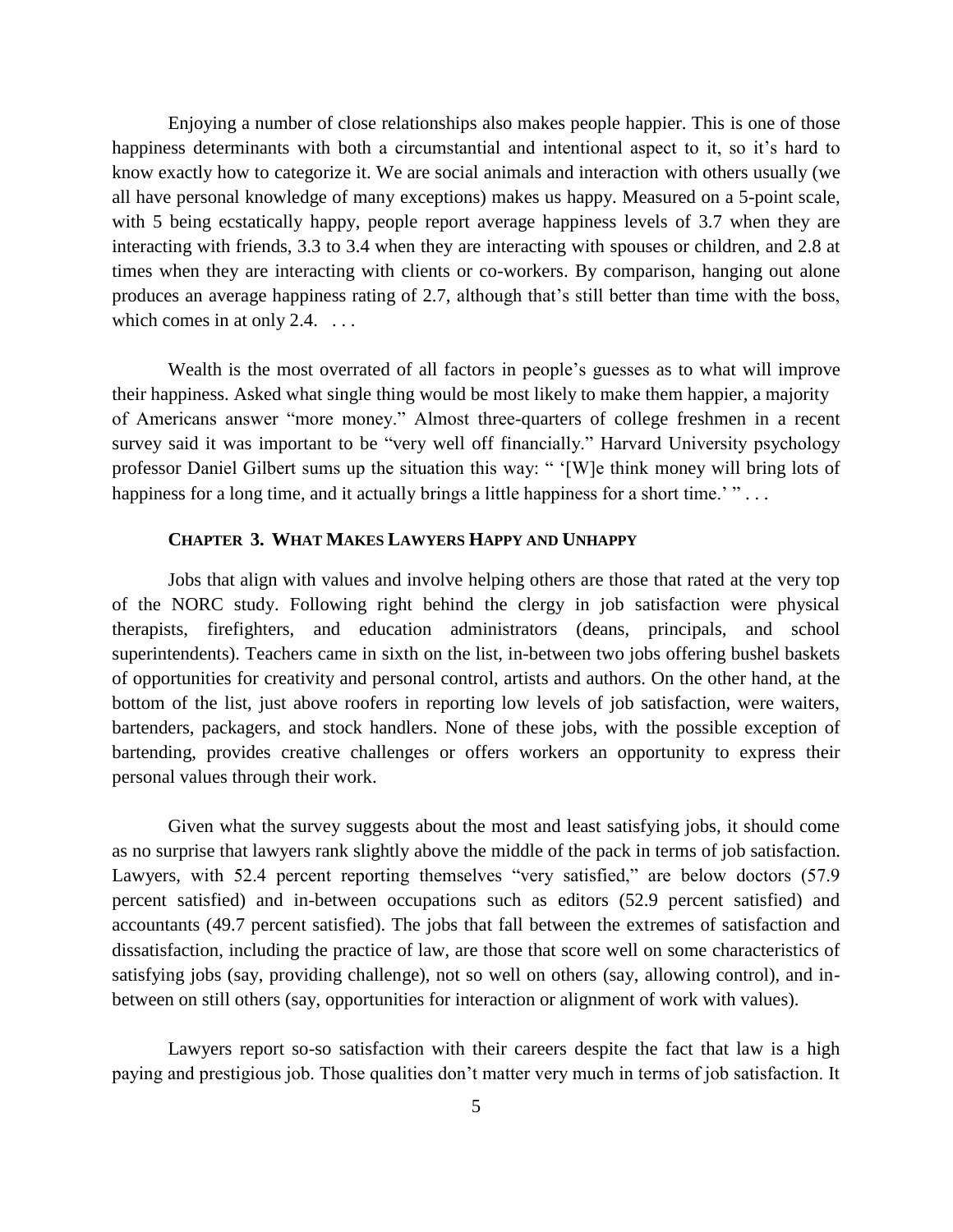Enjoying a number of close relationships also makes people happier. This is one of those happiness determinants with both a circumstantial and intentional aspect to it, so it's hard to know exactly how to categorize it. We are social animals and interaction with others usually (we all have personal knowledge of many exceptions) makes us happy. Measured on a 5-point scale, with 5 being ecstatically happy, people report average happiness levels of 3.7 when they are interacting with friends, 3.3 to 3.4 when they are interacting with spouses or children, and 2.8 at times when they are interacting with clients or co-workers. By comparison, hanging out alone produces an average happiness rating of 2.7, although that's still better than time with the boss, which comes in at only  $2.4. \ldots$ 

Wealth is the most overrated of all factors in people's guesses as to what will improve their happiness. Asked what single thing would be most likely to make them happier, a majority of Americans answer "more money." Almost three-quarters of college freshmen in a recent survey said it was important to be "very well off financially." Harvard University psychology professor Daniel Gilbert sums up the situation this way: " '[W]e think money will bring lots of happiness for a long time, and it actually brings a little happiness for a short time.' " . . .

## **CHAPTER 3. WHAT MAKES LAWYERS HAPPY AND UNHAPPY**

Jobs that align with values and involve helping others are those that rated at the very top of the NORC study. Following right behind the clergy in job satisfaction were physical therapists, firefighters, and education administrators (deans, principals, and school superintendents). Teachers came in sixth on the list, in-between two jobs offering bushel baskets of opportunities for creativity and personal control, artists and authors. On the other hand, at the bottom of the list, just above roofers in reporting low levels of job satisfaction, were waiters, bartenders, packagers, and stock handlers. None of these jobs, with the possible exception of bartending, provides creative challenges or offers workers an opportunity to express their personal values through their work.

Given what the survey suggests about the most and least satisfying jobs, it should come as no surprise that lawyers rank slightly above the middle of the pack in terms of job satisfaction. Lawyers, with 52.4 percent reporting themselves "very satisfied," are below doctors (57.9 percent satisfied) and in-between occupations such as editors (52.9 percent satisfied) and accountants (49.7 percent satisfied). The jobs that fall between the extremes of satisfaction and dissatisfaction, including the practice of law, are those that score well on some characteristics of satisfying jobs (say, providing challenge), not so well on others (say, allowing control), and inbetween on still others (say, opportunities for interaction or alignment of work with values).

Lawyers report so-so satisfaction with their careers despite the fact that law is a high paying and prestigious job. Those qualities don't matter very much in terms of job satisfaction. It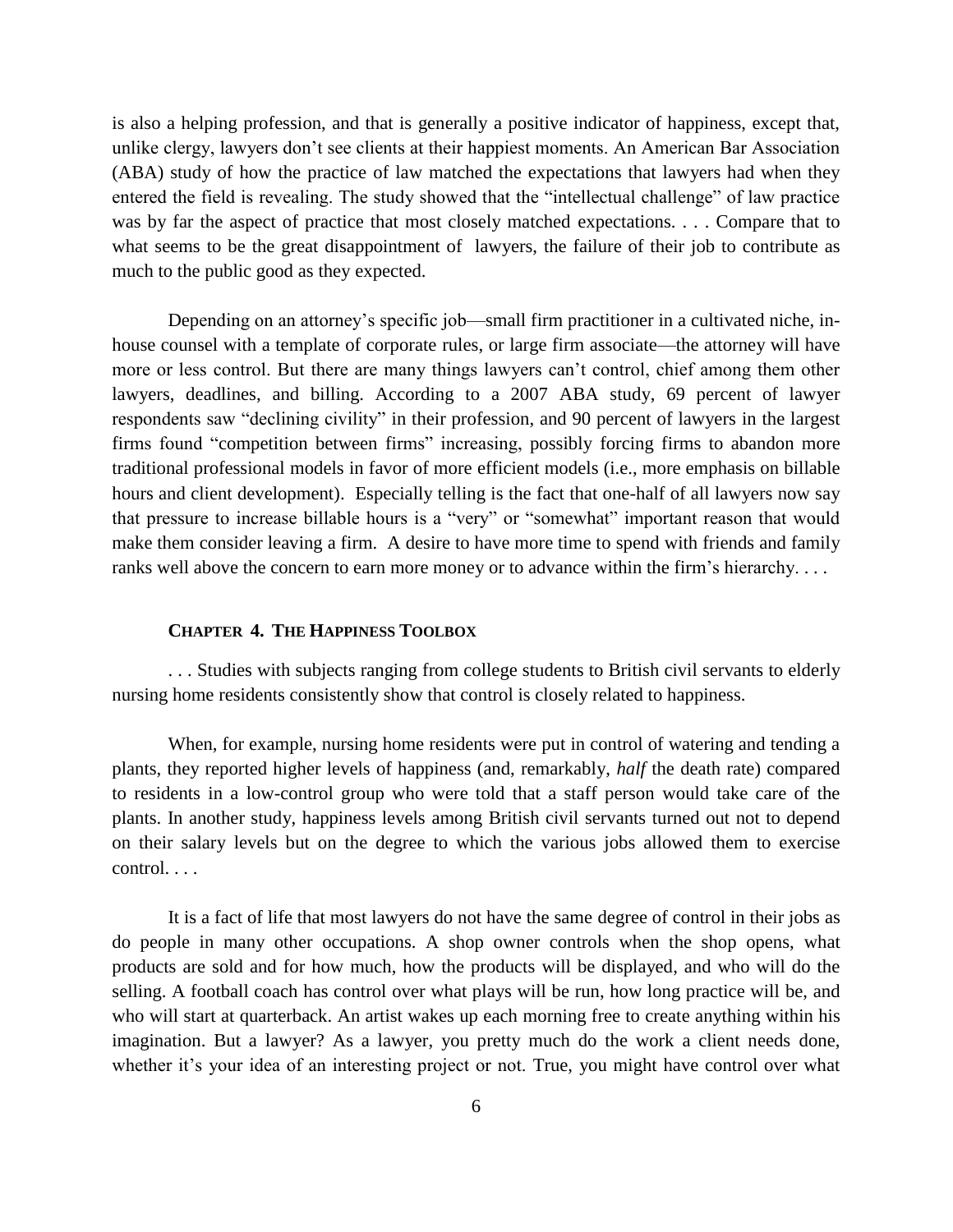is also a helping profession, and that is generally a positive indicator of happiness, except that, unlike clergy, lawyers don't see clients at their happiest moments. An American Bar Association (ABA) study of how the practice of law matched the expectations that lawyers had when they entered the field is revealing. The study showed that the "intellectual challenge" of law practice was by far the aspect of practice that most closely matched expectations. . . . Compare that to what seems to be the great disappointment of lawyers, the failure of their job to contribute as much to the public good as they expected.

Depending on an attorney's specific job—small firm practitioner in a cultivated niche, inhouse counsel with a template of corporate rules, or large firm associate—the attorney will have more or less control. But there are many things lawyers can't control, chief among them other lawyers, deadlines, and billing. According to a 2007 ABA study, 69 percent of lawyer respondents saw "declining civility" in their profession, and 90 percent of lawyers in the largest firms found "competition between firms" increasing, possibly forcing firms to abandon more traditional professional models in favor of more efficient models (i.e., more emphasis on billable hours and client development). Especially telling is the fact that one-half of all lawyers now say that pressure to increase billable hours is a "very" or "somewhat" important reason that would make them consider leaving a firm. A desire to have more time to spend with friends and family ranks well above the concern to earn more money or to advance within the firm's hierarchy. . . .

#### **CHAPTER 4. THE HAPPINESS TOOLBOX**

. . . Studies with subjects ranging from college students to British civil servants to elderly nursing home residents consistently show that control is closely related to happiness.

When, for example, nursing home residents were put in control of watering and tending a plants, they reported higher levels of happiness (and, remarkably, *half* the death rate) compared to residents in a low-control group who were told that a staff person would take care of the plants. In another study, happiness levels among British civil servants turned out not to depend on their salary levels but on the degree to which the various jobs allowed them to exercise control. . . .

It is a fact of life that most lawyers do not have the same degree of control in their jobs as do people in many other occupations. A shop owner controls when the shop opens, what products are sold and for how much, how the products will be displayed, and who will do the selling. A football coach has control over what plays will be run, how long practice will be, and who will start at quarterback. An artist wakes up each morning free to create anything within his imagination. But a lawyer? As a lawyer, you pretty much do the work a client needs done, whether it's your idea of an interesting project or not. True, you might have control over what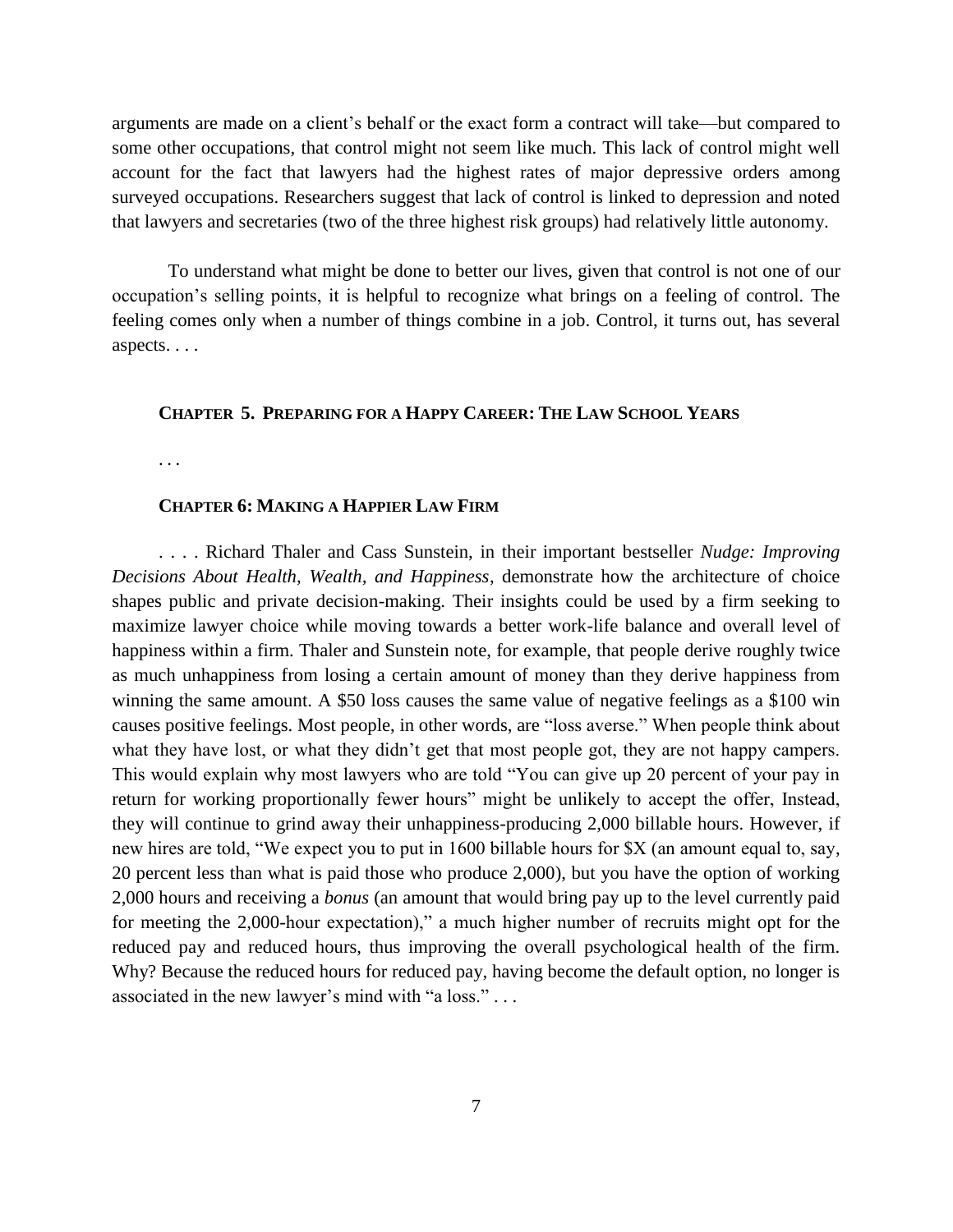arguments are made on a client's behalf or the exact form a contract will take—but compared to some other occupations, that control might not seem like much. This lack of control might well account for the fact that lawyers had the highest rates of major depressive orders among surveyed occupations. Researchers suggest that lack of control is linked to depression and noted that lawyers and secretaries (two of the three highest risk groups) had relatively little autonomy.

To understand what might be done to better our lives, given that control is not one of our occupation's selling points, it is helpful to recognize what brings on a feeling of control. The feeling comes only when a number of things combine in a job. Control, it turns out, has several aspects. . . .

#### **CHAPTER 5. PREPARING FOR A HAPPY CAREER: THE LAW SCHOOL YEARS**

. . .

## **CHAPTER 6: MAKING A HAPPIER LAW FIRM**

. . . . Richard Thaler and Cass Sunstein, in their important bestseller *Nudge: Improving Decisions About Health, Wealth, and Happiness*, demonstrate how the architecture of choice shapes public and private decision-making. Their insights could be used by a firm seeking to maximize lawyer choice while moving towards a better work-life balance and overall level of happiness within a firm. Thaler and Sunstein note, for example, that people derive roughly twice as much unhappiness from losing a certain amount of money than they derive happiness from winning the same amount. A \$50 loss causes the same value of negative feelings as a \$100 win causes positive feelings. Most people, in other words, are "loss averse." When people think about what they have lost, or what they didn't get that most people got, they are not happy campers. This would explain why most lawyers who are told "You can give up 20 percent of your pay in return for working proportionally fewer hours" might be unlikely to accept the offer, Instead, they will continue to grind away their unhappiness-producing 2,000 billable hours. However, if new hires are told, "We expect you to put in 1600 billable hours for \$X (an amount equal to, say, 20 percent less than what is paid those who produce 2,000), but you have the option of working 2,000 hours and receiving a *bonus* (an amount that would bring pay up to the level currently paid for meeting the 2,000-hour expectation)," a much higher number of recruits might opt for the reduced pay and reduced hours, thus improving the overall psychological health of the firm. Why? Because the reduced hours for reduced pay, having become the default option, no longer is associated in the new lawyer's mind with "a loss." . . .